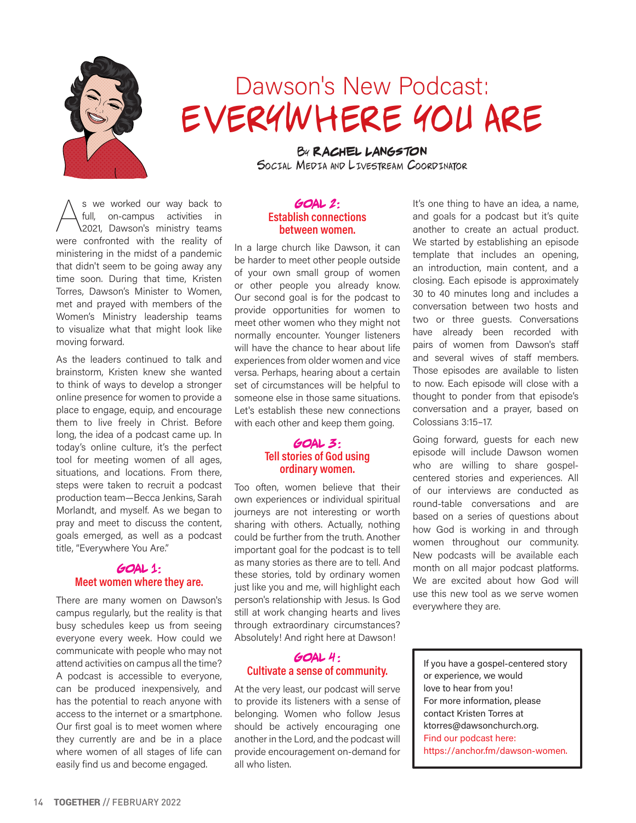

# Dawson's New Podcast: EVERYWHERE YOU ARE

By **Rachel Langston** Social Media and Livestream Coordinator

S we worked our way back to<br>
full, on-campus activities in<br>
2021, Dawson's ministry teams full, on-campus activities in were confronted with the reality of ministering in the midst of a pandemic that didn't seem to be going away any time soon. During that time, Kristen Torres, Dawson's Minister to Women, met and prayed with members of the Women's Ministry leadership teams to visualize what that might look like moving forward.

As the leaders continued to talk and brainstorm, Kristen knew she wanted to think of ways to develop a stronger online presence for women to provide a place to engage, equip, and encourage them to live freely in Christ. Before long, the idea of a podcast came up. In today's online culture, it's the perfect tool for meeting women of all ages, situations, and locations. From there, steps were taken to recruit a podcast production team—Becca Jenkins, Sarah Morlandt, and myself. As we began to pray and meet to discuss the content, goals emerged, as well as a podcast title, "Everywhere You Are."

## **Goal 1:**  Meet women where they are.

There are many women on Dawson's campus regularly, but the reality is that busy schedules keep us from seeing everyone every week. How could we communicate with people who may not attend activities on campus all the time? A podcast is accessible to everyone, can be produced inexpensively, and has the potential to reach anyone with access to the internet or a smartphone. Our first goal is to meet women where they currently are and be in a place where women of all stages of life can easily find us and become engaged.

#### **Goal 2:**  Establish connections between women.

In a large church like Dawson, it can be harder to meet other people outside of your own small group of women or other people you already know. Our second goal is for the podcast to provide opportunities for women to meet other women who they might not normally encounter. Younger listeners will have the chance to hear about life experiences from older women and vice versa. Perhaps, hearing about a certain set of circumstances will be helpful to someone else in those same situations. Let's establish these new connections with each other and keep them going.

### **Goal 3:**  Tell stories of God using ordinary women.

Too often, women believe that their own experiences or individual spiritual journeys are not interesting or worth sharing with others. Actually, nothing could be further from the truth. Another important goal for the podcast is to tell as many stories as there are to tell. And these stories, told by ordinary women just like you and me, will highlight each person's relationship with Jesus. Is God still at work changing hearts and lives through extraordinary circumstances? Absolutely! And right here at Dawson!

## **Goal 4 :**  Cultivate a sense of community.

At the very least, our podcast will serve to provide its listeners with a sense of belonging. Women who follow Jesus should be actively encouraging one another in the Lord, and the podcast will provide encouragement on-demand for all who listen.

It's one thing to have an idea, a name, and goals for a podcast but it's quite another to create an actual product. We started by establishing an episode template that includes an opening, an introduction, main content, and a closing. Each episode is approximately 30 to 40 minutes long and includes a conversation between two hosts and two or three guests. Conversations have already been recorded with pairs of women from Dawson's staff and several wives of staff members. Those episodes are available to listen to now. Each episode will close with a thought to ponder from that episode's conversation and a prayer, based on Colossians 3:15–17.

Going forward, guests for each new episode will include Dawson women who are willing to share gospelcentered stories and experiences. All of our interviews are conducted as round-table conversations and are based on a series of questions about how God is working in and through women throughout our community. New podcasts will be available each month on all major podcast platforms. We are excited about how God will use this new tool as we serve women everywhere they are.

If you have a gospel-centered story or experience, we would love to hear from you! For more information, please contact Kristen Torres at ktorres@dawsonchurch.org. Find our podcast here: https://anchor.fm/dawson-women.